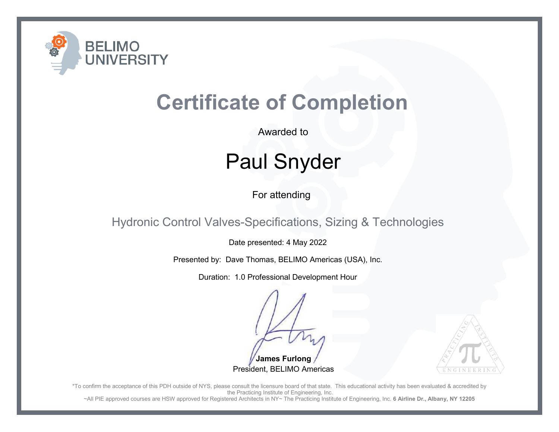

Awarded to

## Paul Snyder

For attending

Hydronic Control Valves-Specifications, Sizing & Technologies

Date presented: 4 May 2022

Presented by: Dave Thomas, BELIMO Americas (USA), Inc.

Duration: 1.0 Professional Development Hour

**James Furlong**President, BELIMO Americas



\*To confirm the acceptance of this PDH outside of NYS, please consult the licensure board of that state. This educational activity has been evaluated & accredited by the Practicing Institute of Engineering, Inc.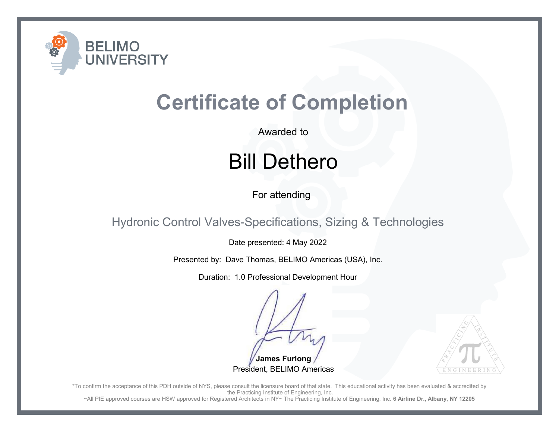

Awarded to

## Bill Dethero

For attending

Hydronic Control Valves-Specifications, Sizing & Technologies

Date presented: 4 May 2022

Presented by: Dave Thomas, BELIMO Americas (USA), Inc.

Duration: 1.0 Professional Development Hour

**James Furlong**President, BELIMO Americas



\*To confirm the acceptance of this PDH outside of NYS, please consult the licensure board of that state. This educational activity has been evaluated & accredited by the Practicing Institute of Engineering, Inc.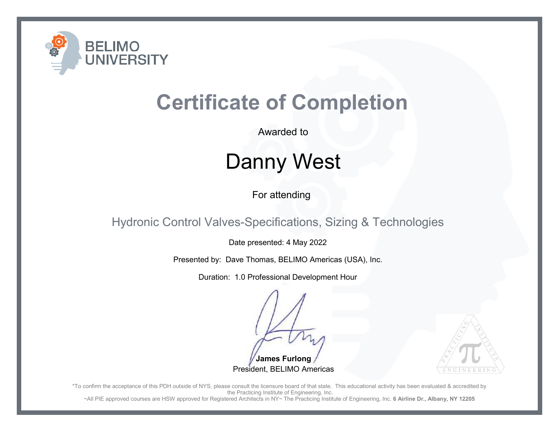

Awarded to

## Danny West

For attending

Hydronic Control Valves-Specifications, Sizing & Technologies

Date presented: 4 May 2022

Presented by: Dave Thomas, BELIMO Americas (USA), Inc.

Duration: 1.0 Professional Development Hour

**James Furlong**President, BELIMO Americas



\*To confirm the acceptance of this PDH outside of NYS, please consult the licensure board of that state. This educational activity has been evaluated & accredited by the Practicing Institute of Engineering, Inc.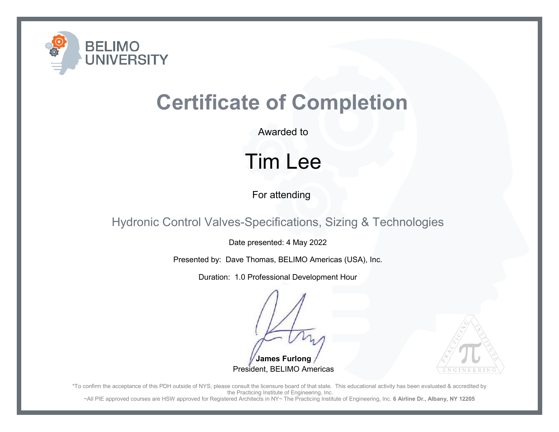

Awarded to

### Tim Lee

For attending

Hydronic Control Valves-Specifications, Sizing & Technologies

Date presented: 4 May 2022

Presented by: Dave Thomas, BELIMO Americas (USA), Inc.

Duration: 1.0 Professional Development Hour

**James Furlong**President, BELIMO Americas



\*To confirm the acceptance of this PDH outside of NYS, please consult the licensure board of that state. This educational activity has been evaluated & accredited by the Practicing Institute of Engineering, Inc.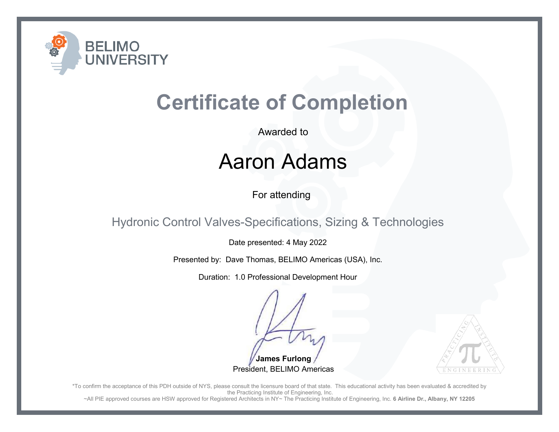

Awarded to

#### Aaron Adams

For attending

Hydronic Control Valves-Specifications, Sizing & Technologies

Date presented: 4 May 2022

Presented by: Dave Thomas, BELIMO Americas (USA), Inc.

Duration: 1.0 Professional Development Hour

**James Furlong**President, BELIMO Americas



\*To confirm the acceptance of this PDH outside of NYS, please consult the licensure board of that state. This educational activity has been evaluated & accredited by the Practicing Institute of Engineering, Inc.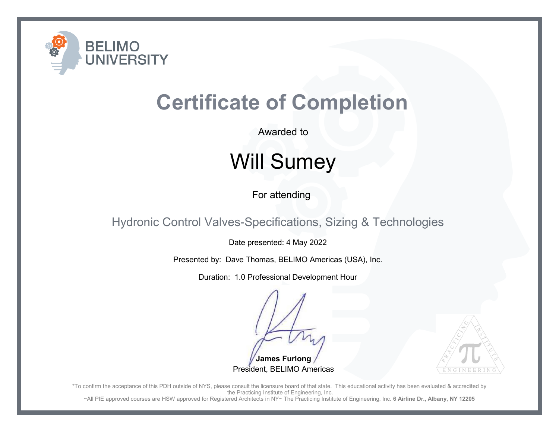

Awarded to

# Will Sumey

For attending

Hydronic Control Valves-Specifications, Sizing & Technologies

Date presented: 4 May 2022

Presented by: Dave Thomas, BELIMO Americas (USA), Inc.

Duration: 1.0 Professional Development Hour

**James Furlong**President, BELIMO Americas



\*To confirm the acceptance of this PDH outside of NYS, please consult the licensure board of that state. This educational activity has been evaluated & accredited by the Practicing Institute of Engineering, Inc.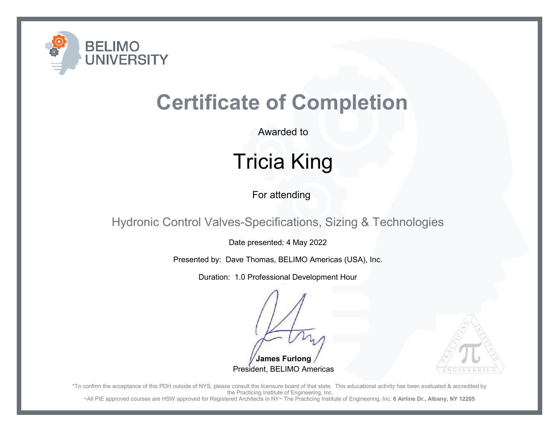

Awarded to

# Tricia King

For attending

Hydronic Control Valves-Specifications, Sizing & Technologies

Date presented: 4 May 2022

Presented by: Dave Thomas, BELIMO Americas (USA), Inc.

Duration: 1.0 Professional Development Hour

**James Furlong**President, BELIMO Americas



\*To confirm the acceptance of this PDH outside of NYS, please consult the licensure board of that state. This educational activity has been evaluated & accredited by the Practicing Institute of Engineering, Inc.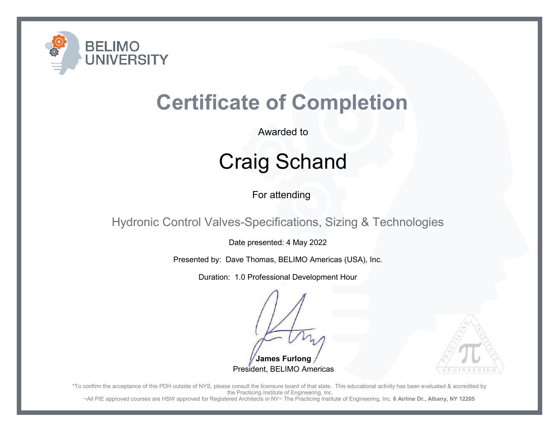

Awarded to

# Craig Schand

For attending

Hydronic Control Valves-Specifications, Sizing & Technologies

Date presented: 4 May 2022

Presented by: Dave Thomas, BELIMO Americas (USA), Inc.

Duration: 1.0 Professional Development Hour

**James Furlong**President, BELIMO Americas



\*To confirm the acceptance of this PDH outside of NYS, please consult the licensure board of that state. This educational activity has been evaluated & accredited by the Practicing Institute of Engineering, Inc.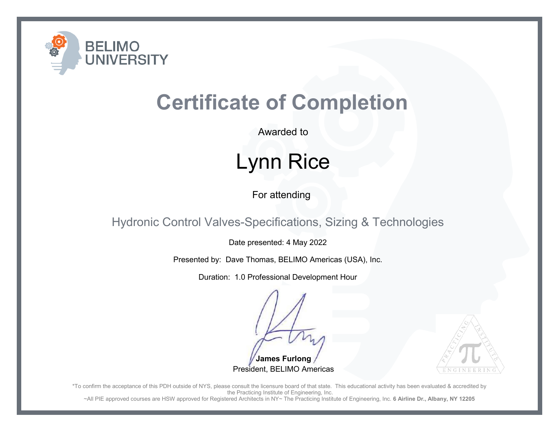

Awarded to

## Lynn Rice

For attending

Hydronic Control Valves-Specifications, Sizing & Technologies

Date presented: 4 May 2022

Presented by: Dave Thomas, BELIMO Americas (USA), Inc.

Duration: 1.0 Professional Development Hour

**James Furlong**President, BELIMO Americas



\*To confirm the acceptance of this PDH outside of NYS, please consult the licensure board of that state. This educational activity has been evaluated & accredited by the Practicing Institute of Engineering, Inc.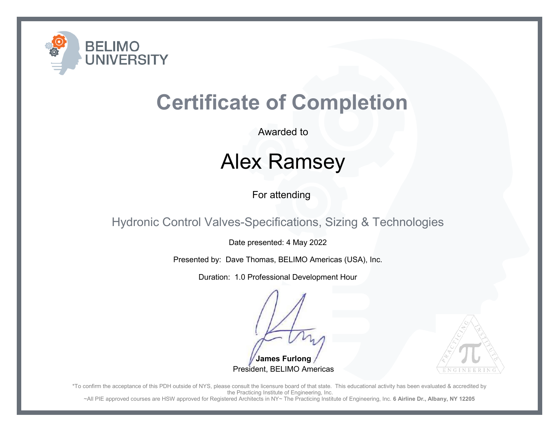

Awarded to

## Alex Ramsey

For attending

Hydronic Control Valves-Specifications, Sizing & Technologies

Date presented: 4 May 2022

Presented by: Dave Thomas, BELIMO Americas (USA), Inc.

Duration: 1.0 Professional Development Hour

**James Furlong**President, BELIMO Americas



\*To confirm the acceptance of this PDH outside of NYS, please consult the licensure board of that state. This educational activity has been evaluated & accredited by the Practicing Institute of Engineering, Inc.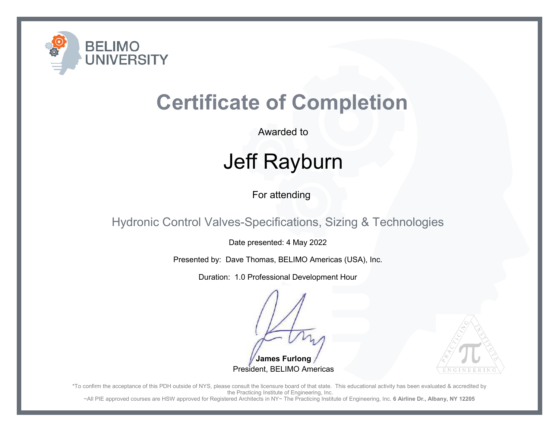

Awarded to

# Jeff Rayburn

For attending

Hydronic Control Valves-Specifications, Sizing & Technologies

Date presented: 4 May 2022

Presented by: Dave Thomas, BELIMO Americas (USA), Inc.

Duration: 1.0 Professional Development Hour

**James Furlong**President, BELIMO Americas



\*To confirm the acceptance of this PDH outside of NYS, please consult the licensure board of that state. This educational activity has been evaluated & accredited by the Practicing Institute of Engineering, Inc.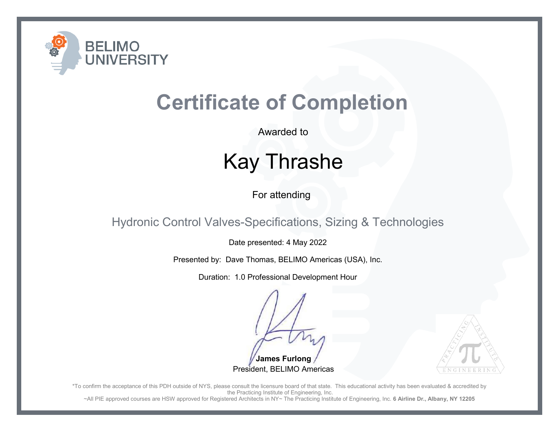

Awarded to

## Kay Thrashe

For attending

Hydronic Control Valves-Specifications, Sizing & Technologies

Date presented: 4 May 2022

Presented by: Dave Thomas, BELIMO Americas (USA), Inc.

Duration: 1.0 Professional Development Hour

**James Furlong**President, BELIMO Americas



\*To confirm the acceptance of this PDH outside of NYS, please consult the licensure board of that state. This educational activity has been evaluated & accredited by the Practicing Institute of Engineering, Inc.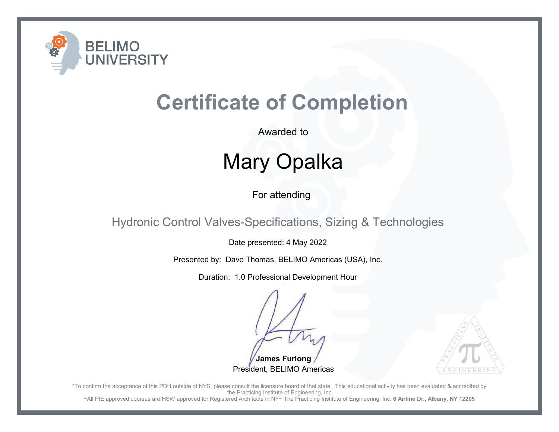

Awarded to

# Mary Opalka

For attending

Hydronic Control Valves-Specifications, Sizing & Technologies

Date presented: 4 May 2022

Presented by: Dave Thomas, BELIMO Americas (USA), Inc.

Duration: 1.0 Professional Development Hour

**James Furlong**President, BELIMO Americas



\*To confirm the acceptance of this PDH outside of NYS, please consult the licensure board of that state. This educational activity has been evaluated & accredited by the Practicing Institute of Engineering, Inc.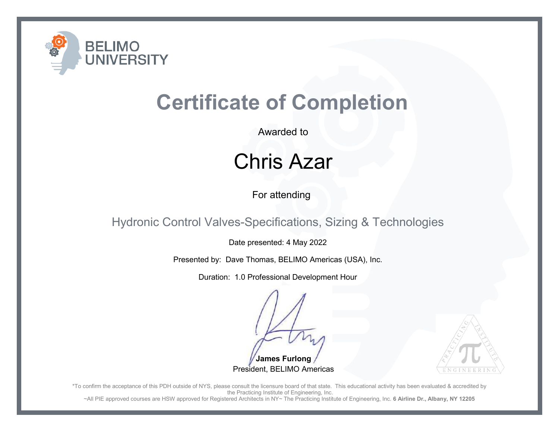

Awarded to

### Chris Azar

For attending

Hydronic Control Valves-Specifications, Sizing & Technologies

Date presented: 4 May 2022

Presented by: Dave Thomas, BELIMO Americas (USA), Inc.

Duration: 1.0 Professional Development Hour

**James Furlong**President, BELIMO Americas



\*To confirm the acceptance of this PDH outside of NYS, please consult the licensure board of that state. This educational activity has been evaluated & accredited by the Practicing Institute of Engineering, Inc.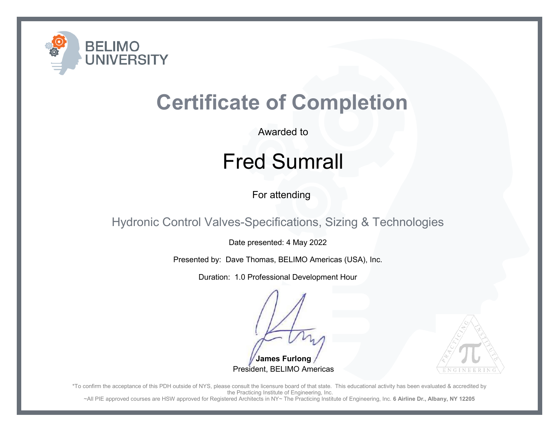

Awarded to

## Fred Sumrall

For attending

Hydronic Control Valves-Specifications, Sizing & Technologies

Date presented: 4 May 2022

Presented by: Dave Thomas, BELIMO Americas (USA), Inc.

Duration: 1.0 Professional Development Hour

**James Furlong**President, BELIMO Americas



\*To confirm the acceptance of this PDH outside of NYS, please consult the licensure board of that state. This educational activity has been evaluated & accredited by the Practicing Institute of Engineering, Inc.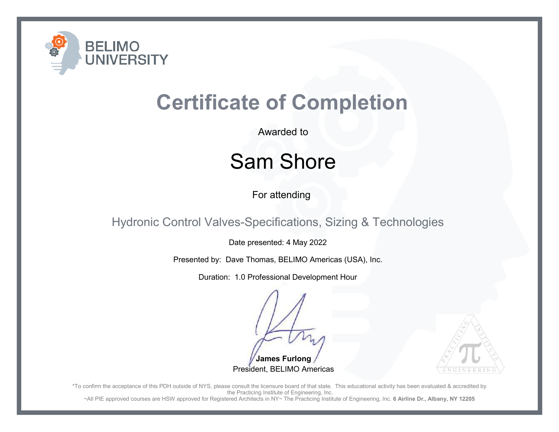

Awarded to

#### Sam Shore

For attending

Hydronic Control Valves-Specifications, Sizing & Technologies

Date presented: 4 May 2022

Presented by: Dave Thomas, BELIMO Americas (USA), Inc.

Duration: 1.0 Professional Development Hour

**James Furlong**President, BELIMO Americas



\*To confirm the acceptance of this PDH outside of NYS, please consult the licensure board of that state. This educational activity has been evaluated & accredited by the Practicing Institute of Engineering, Inc.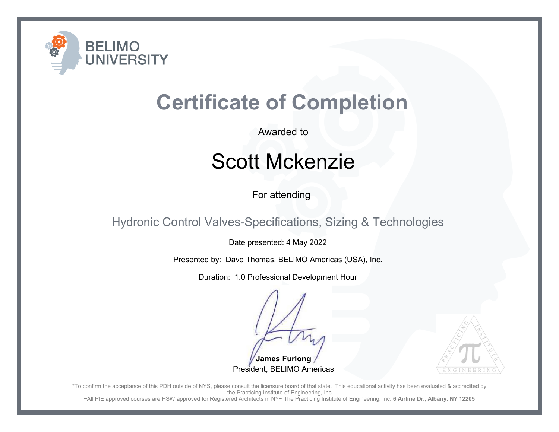

Awarded to

#### Scott Mckenzie

For attending

Hydronic Control Valves-Specifications, Sizing & Technologies

Date presented: 4 May 2022

Presented by: Dave Thomas, BELIMO Americas (USA), Inc.

Duration: 1.0 Professional Development Hour

**James Furlong**President, BELIMO Americas



\*To confirm the acceptance of this PDH outside of NYS, please consult the licensure board of that state. This educational activity has been evaluated & accredited by the Practicing Institute of Engineering, Inc.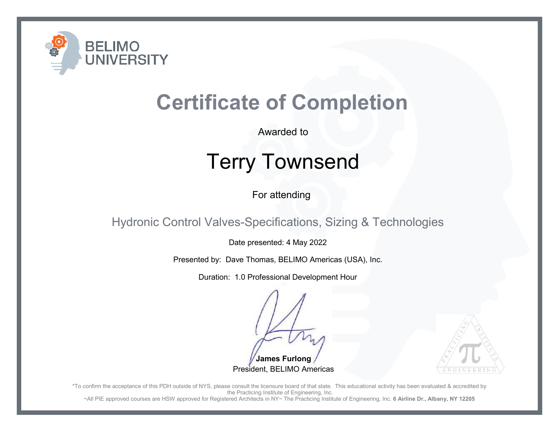

Awarded to

# Terry Townsend

For attending

Hydronic Control Valves-Specifications, Sizing & Technologies

Date presented: 4 May 2022

Presented by: Dave Thomas, BELIMO Americas (USA), Inc.

Duration: 1.0 Professional Development Hour

**James Furlong**President, BELIMO Americas



\*To confirm the acceptance of this PDH outside of NYS, please consult the licensure board of that state. This educational activity has been evaluated & accredited by the Practicing Institute of Engineering, Inc.